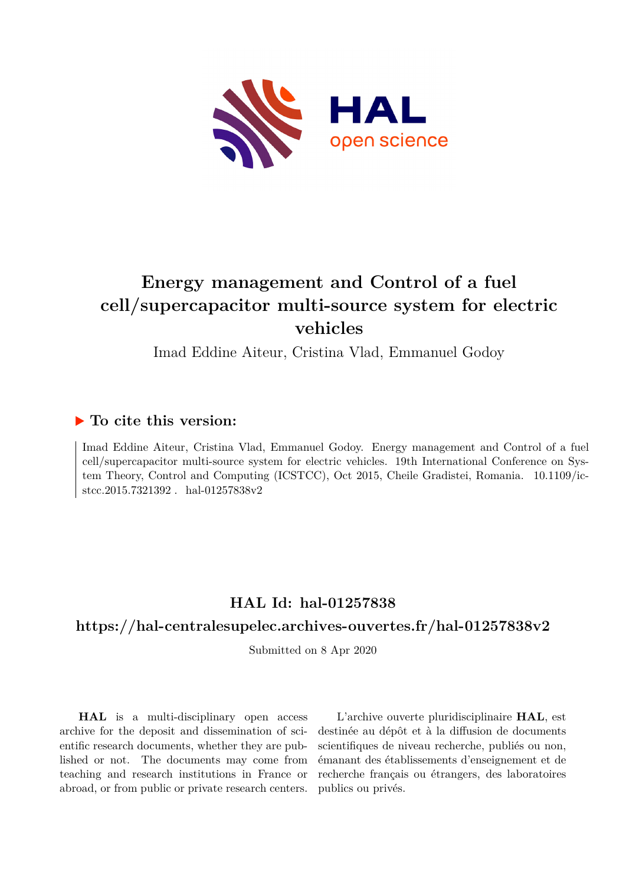

# **Energy management and Control of a fuel cell/supercapacitor multi-source system for electric vehicles**

Imad Eddine Aiteur, Cristina Vlad, Emmanuel Godoy

### **To cite this version:**

Imad Eddine Aiteur, Cristina Vlad, Emmanuel Godoy. Energy management and Control of a fuel cell/supercapacitor multi-source system for electric vehicles. 19th International Conference on System Theory, Control and Computing (ICSTCC), Oct 2015, Cheile Gradistei, Romania. 10.1109/icstcc.2015.7321392 . hal-01257838v2

## **HAL Id: hal-01257838**

### **<https://hal-centralesupelec.archives-ouvertes.fr/hal-01257838v2>**

Submitted on 8 Apr 2020

**HAL** is a multi-disciplinary open access archive for the deposit and dissemination of scientific research documents, whether they are published or not. The documents may come from teaching and research institutions in France or abroad, or from public or private research centers.

L'archive ouverte pluridisciplinaire **HAL**, est destinée au dépôt et à la diffusion de documents scientifiques de niveau recherche, publiés ou non, émanant des établissements d'enseignement et de recherche français ou étrangers, des laboratoires publics ou privés.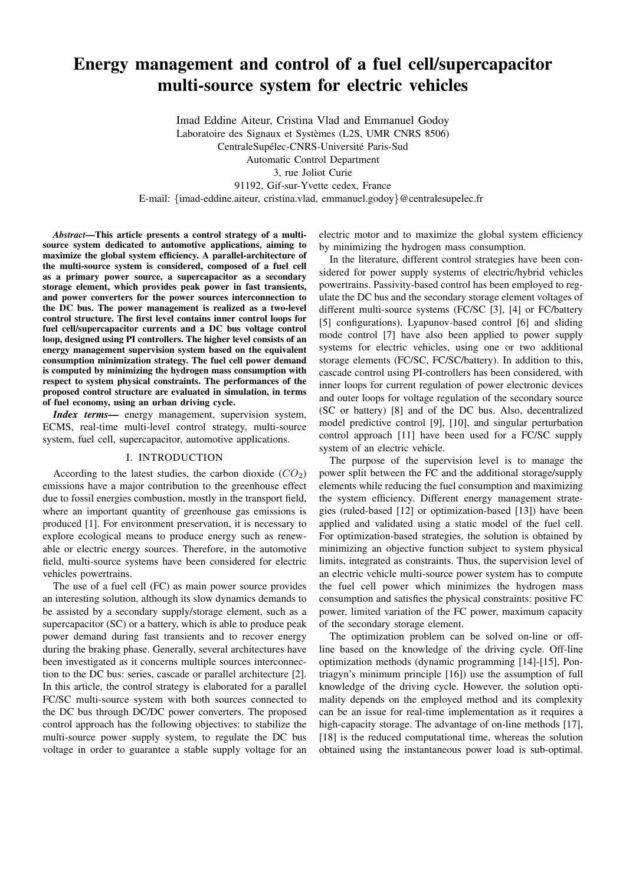# Energy management and control of a fuel cell/supercapacitor multi-source system for electric vehicles

Imad Eddine Aiteur, Cristina Vlad and Emmanuel Godoy Laboratoire des Signaux et Systèmes (L2S, UMR CNRS 8506) CentraleSupélec-CNRS-Université Paris-Sud Automatic Control Department 3, rue Joliot Curie 91192, Gif-sur-Yvette cedex, France E-mail: {imad-eddine.aiteur, cristina.vlad, emmanuel.godoy}@centralesupelec.fr

*Abstract*—This article presents a control strategy of a multisource system dedicated to automotive applications, aiming to maximize the global system efficiency. A parallel-architecture of the multi-source system is considered, composed of a fuel cell as a primary power source, a supercapacitor as a secondary storage element, which provides peak power in fast transients, and power converters for the power sources interconnection to the DC bus. The power management is realized as a two-level control structure. The first level contains inner control loops for fuel cell/supercapacitor currents and a DC bus voltage control loop, designed using PI controllers. The higher level consists of an energy management supervision system based on the equivalent consumption minimization strategy. The fuel cell power demand is computed by minimizing the hydrogen mass consumption with respect to system physical constraints. The performances of the proposed control structure are evaluated in simulation, in terms of fuel economy, using an urban driving cycle.

*Index terms*— energy management, supervision system, ECMS, real-time multi-level control strategy, multi-source system, fuel cell, supercapacitor, automotive applications.

#### I. INTRODUCTION

According to the latest studies, the carbon dioxide  $(CO_2)$ emissions have a major contribution to the greenhouse effect due to fossil energies combustion, mostly in the transport field, where an important quantity of greenhouse gas emissions is produced [1]. For environment preservation, it is necessary to explore ecological means to produce energy such as renewable or electric energy sources. Therefore, in the automotive field, multi-source systems have been considered for electric vehicles powertrains.

The use of a fuel cell (FC) as main power source provides an interesting solution, although its slow dynamics demands to be assisted by a secondary supply/storage element, such as a supercapacitor (SC) or a battery, which is able to produce peak power demand during fast transients and to recover energy during the braking phase. Generally, several architectures have been investigated as it concerns multiple sources interconnection to the DC bus: series, cascade or parallel architecture [2]. In this article, the control strategy is elaborated for a parallel FC/SC multi-source system with both sources connected to the DC bus through DC/DC power converters. The proposed control approach has the following objectives: to stabilize the multi-source power supply system, to regulate the DC bus voltage in order to guarantee a stable supply voltage for an

electric motor and to maximize the global system efficiency by minimizing the hydrogen mass consumption.

In the literature, different control strategies have been considered for power supply systems of electric/hybrid vehicles powertrains. Passivity-based control has been employed to regulate the DC bus and the secondary storage element voltages of different multi-source systems (FC/SC [3], [4] or FC/battery [5] configurations). Lyapunov-based control [6] and sliding mode control [7] have also been applied to power supply systems for electric vehicles, using one or two additional storage elements (FC/SC, FC/SC/battery). In addition to this, cascade control using PI-controllers has been considered, with inner loops for current regulation of power electronic devices and outer loops for voltage regulation of the secondary source (SC or battery) [8] and of the DC bus. Also, decentralized model predictive control [9], [10], and singular perturbation control approach [11] have been used for a FC/SC supply system of an electric vehicle.

The purpose of the supervision level is to manage the power split between the FC and the additional storage/supply elements while reducing the fuel consumption and maximizing the system efficiency. Different energy management strategies (ruled-based [12] or optimization-based [13]) have been applied and validated using a static model of the fuel cell. For optimization-based strategies, the solution is obtained by minimizing an objective function subject to system physical limits, integrated as constraints. Thus, the supervision level of an electric vehicle multi-source power system has to compute the fuel cell power which minimizes the hydrogen mass consumption and satisfies the physical constraints: positive FC power, limited variation of the FC power, maximum capacity of the secondary storage element.

The optimization problem can be solved on-line or offline based on the knowledge of the driving cycle. Off-line optimization methods (dynamic programming [14]-[15], Pontriagyn's minimum principle [16]) use the assumption of full knowledge of the driving cycle. However, the solution optimality depends on the employed method and its complexity can be an issue for real-time implementation as it requires a high-capacity storage. The advantage of on-line methods [17], [18] is the reduced computational time, whereas the solution obtained using the instantaneous power load is sub-optimal.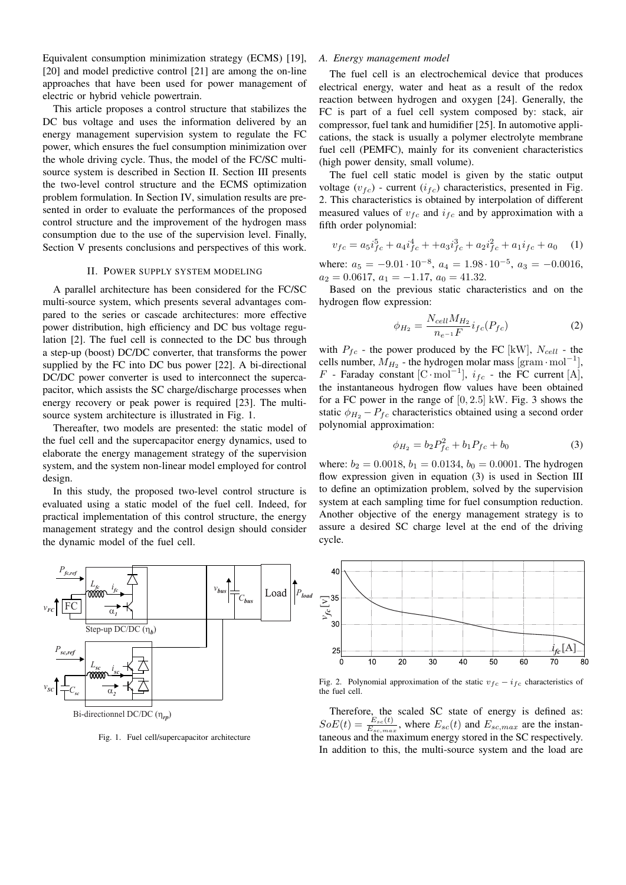Equivalent consumption minimization strategy (ECMS) [19], [20] and model predictive control [21] are among the on-line approaches that have been used for power management of electric or hybrid vehicle powertrain.

This article proposes a control structure that stabilizes the DC bus voltage and uses the information delivered by an energy management supervision system to regulate the FC power, which ensures the fuel consumption minimization over the whole driving cycle. Thus, the model of the FC/SC multisource system is described in Section II. Section III presents the two-level control structure and the ECMS optimization problem formulation. In Section IV, simulation results are presented in order to evaluate the performances of the proposed control structure and the improvement of the hydrogen mass consumption due to the use of the supervision level. Finally, Section V presents conclusions and perspectives of this work.

### II. POWER SUPPLY SYSTEM MODELING

A parallel architecture has been considered for the FC/SC multi-source system, which presents several advantages compared to the series or cascade architectures: more effective power distribution, high efficiency and DC bus voltage regulation [2]. The fuel cell is connected to the DC bus through a step-up (boost) DC/DC converter, that transforms the power supplied by the FC into DC bus power [22]. A bi-directional DC/DC power converter is used to interconnect the supercapacitor, which assists the SC charge/discharge processes when energy recovery or peak power is required [23]. The multisource system architecture is illustrated in Fig. 1.

Thereafter, two models are presented: the static model of the fuel cell and the supercapacitor energy dynamics, used to elaborate the energy management strategy of the supervision system, and the system non-linear model employed for control design.

In this study, the proposed two-level control structure is evaluated using a static model of the fuel cell. Indeed, for practical implementation of this control structure, the energy management strategy and the control design should consider the dynamic model of the fuel cell.



Fig. 1. Fuel cell/supercapacitor architecture

### *A. Energy management model*

The fuel cell is an electrochemical device that produces electrical energy, water and heat as a result of the redox reaction between hydrogen and oxygen [24]. Generally, the FC is part of a fuel cell system composed by: stack, air compressor, fuel tank and humidifier [25]. In automotive applications, the stack is usually a polymer electrolyte membrane fuel cell (PEMFC), mainly for its convenient characteristics (high power density, small volume).

The fuel cell static model is given by the static output voltage  $(v_{fc})$  - current  $(i_{fc})$  characteristics, presented in Fig. 2. This characteristics is obtained by interpolation of different measured values of  $v_{fc}$  and  $i_{fc}$  and by approximation with a fifth order polynomial:

$$
v_{fc} = a_5 i_{fc}^5 + a_4 i_{fc}^4 + a_3 i_{fc}^3 + a_2 i_{fc}^2 + a_1 i_{fc} + a_0 \quad (1)
$$

where:  $a_5 = -9.01 \cdot 10^{-8}$ ,  $a_4 = 1.98 \cdot 10^{-5}$ ,  $a_3 = -0.0016$ ,  $a_2 = 0.0617, a_1 = -1.17, a_0 = 41.32.$ 

Based on the previous static characteristics and on the hydrogen flow expression:

$$
\phi_{H_2} = \frac{N_{cell} M_{H_2}}{n_{e^{-1}} F} i_{fc}(P_{fc})
$$
\n(2)

with  $P_{fc}$  - the power produced by the FC [kW],  $N_{cell}$  - the cells number,  $\overline{M}_{H_2}$  - the hydrogen molar mass [gram · mol<sup>-1</sup>], F - Faraday constant [C·mol<sup>-1</sup>],  $i_{fc}$  - the FC current [A], the instantaneous hydrogen flow values have been obtained for a FC power in the range of  $[0, 2.5]$  kW. Fig. 3 shows the static  $\phi_{H_2} - P_{fc}$  characteristics obtained using a second order polynomial approximation:

$$
\phi_{H_2} = b_2 P_{fc}^2 + b_1 P_{fc} + b_0 \tag{3}
$$

where:  $b_2 = 0.0018$ ,  $b_1 = 0.0134$ ,  $b_0 = 0.0001$ . The hydrogen flow expression given in equation (3) is used in Section III to define an optimization problem, solved by the supervision system at each sampling time for fuel consumption reduction. Another objective of the energy management strategy is to assure a desired SC charge level at the end of the driving cycle.



Fig. 2. Polynomial approximation of the static  $v_{fc} - i_{fc}$  characteristics of the fuel cell.

Therefore, the scaled SC state of energy is defined as:  $SoE(t) = \frac{E_{sc}(t)}{E_{sc,max}}$ , where  $E_{sc}(t)$  and  $E_{sc,max}$  are the instantaneous and the maximum energy stored in the SC respectively. In addition to this, the multi-source system and the load are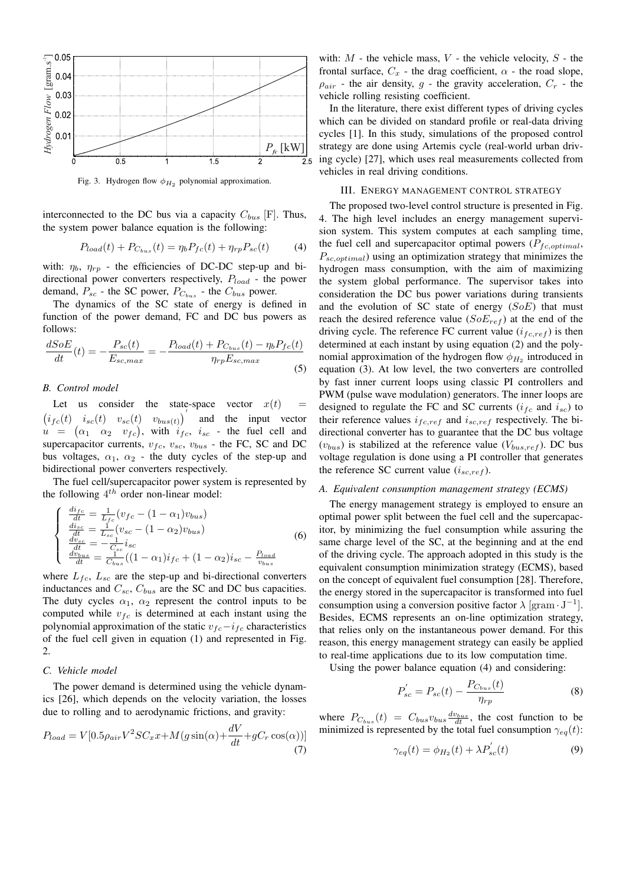

Fig. 3. Hydrogen flow  $\phi_{H_2}$  polynomial approximation.

interconnected to the DC bus via a capacity  $C_{bus}$  [F]. Thus, the system power balance equation is the following:

$$
P_{load}(t) + P_{C_{bus}}(t) = \eta_b P_{fc}(t) + \eta_{rp} P_{sc}(t) \tag{4}
$$

with:  $\eta_b$ ,  $\eta_{rp}$  - the efficiencies of DC-DC step-up and bidirectional power converters respectively,  $P_{load}$  - the power demand,  $P_{sc}$  - the SC power,  $P_{C_{bus}}$  - the  $C_{bus}$  power.

The dynamics of the SC state of energy is defined in function of the power demand, FC and DC bus powers as follows:

$$
\frac{dSoE}{dt}(t) = -\frac{P_{sc}(t)}{E_{sc,max}} = -\frac{P_{load}(t) + P_{C_{bus}}(t) - \eta_b P_{fc}(t)}{\eta_{rp} E_{sc,max}}
$$
\n(5)

### *B. Control model*

Let us consider the state-space vector  $x(t)$  $(i_{fc}(t)$   $i_{sc}(t)$   $v_{sc}(t)$   $v_{bus(t)}$ and the input vector  $u = (\alpha_1 \alpha_2 \nu_{fc}),$  with  $i_{fc}, i_{sc}$  - the fuel cell and supercapacitor currents,  $v_{fc}$ ,  $v_{sc}$ ,  $v_{bus}$  - the FC, SC and DC bus voltages,  $\alpha_1$ ,  $\alpha_2$  - the duty cycles of the step-up and bidirectional power converters respectively.

The fuel cell/supercapacitor power system is represented by the following  $4^{th}$  order non-linear model:

$$
\begin{cases}\n\frac{di_{fc}}{dt} = \frac{1}{L_{fc}}(v_{fc} - (1 - \alpha_1)v_{bus}) \\
\frac{di_{sc}}{dt} = \frac{1}{L_{sc}}(v_{sc} - (1 - \alpha_2)v_{bus}) \\
\frac{dv_{sc}}{dt} = -\frac{1}{C_{sc}}i_{sc} \\
\frac{dv_{bus}}{dt} = \frac{1}{C_{bus}}((1 - \alpha_1)i_{fc} + (1 - \alpha_2)i_{sc} - \frac{P_{load}}{v_{bus}}\n\end{cases}
$$
\n(6)

where  $L_{fc}$ ,  $L_{sc}$  are the step-up and bi-directional converters inductances and  $C_{sc}$ ,  $C_{bus}$  are the SC and DC bus capacities. The duty cycles  $\alpha_1$ ,  $\alpha_2$  represent the control inputs to be computed while  $v_{fc}$  is determined at each instant using the polynomial approximation of the static  $v_{fc} - i_{fc}$  characteristics of the fuel cell given in equation (1) and represented in Fig. 2.

### *C. Vehicle model*

The power demand is determined using the vehicle dynamics [26], which depends on the velocity variation, the losses due to rolling and to aerodynamic frictions, and gravity:

$$
P_{load} = V[0.5\rho_{air}V^2SC_xx + M(g\sin(\alpha) + \frac{dV}{dt} + gC_r\cos(\alpha))]
$$
\n(7)

with:  $M$  - the vehicle mass,  $V$  - the vehicle velocity,  $S$  - the frontal surface,  $C_x$  - the drag coefficient,  $\alpha$  - the road slope,  $\rho_{air}$  - the air density, g - the gravity acceleration,  $C_r$  - the vehicle rolling resisting coefficient.

In the literature, there exist different types of driving cycles which can be divided on standard profile or real-data driving cycles [1]. In this study, simulations of the proposed control strategy are done using Artemis cycle (real-world urban driving cycle) [27], which uses real measurements collected from vehicles in real driving conditions.

#### III. ENERGY MANAGEMENT CONTROL STRATEGY

The proposed two-level control structure is presented in Fig. 4. The high level includes an energy management supervision system. This system computes at each sampling time, the fuel cell and supercapacitor optimal powers  $(P_{fc,optimal},$  $P_{sc,optimal}$ ) using an optimization strategy that minimizes the hydrogen mass consumption, with the aim of maximizing the system global performance. The supervisor takes into consideration the DC bus power variations during transients and the evolution of SC state of energy  $(SoE)$  that must reach the desired reference value  $(SoE_{ref})$  at the end of the driving cycle. The reference FC current value  $(i_{fc,ref})$  is then determined at each instant by using equation (2) and the polynomial approximation of the hydrogen flow  $\phi_{H_2}$  introduced in equation (3). At low level, the two converters are controlled by fast inner current loops using classic PI controllers and PWM (pulse wave modulation) generators. The inner loops are designed to regulate the FC and SC currents ( $i_{fc}$  and  $i_{sc}$ ) to their reference values  $i_{fc,ref}$  and  $i_{sc,ref}$  respectively. The bidirectional converter has to guarantee that the DC bus voltage  $(v_{bus})$  is stabilized at the reference value  $(V_{bus,ref})$ . DC bus voltage regulation is done using a PI controller that generates the reference SC current value  $(i_{sc,ref})$ .

### *A. Equivalent consumption management strategy (ECMS)*

The energy management strategy is employed to ensure an optimal power split between the fuel cell and the supercapacitor, by minimizing the fuel consumption while assuring the same charge level of the SC, at the beginning and at the end of the driving cycle. The approach adopted in this study is the equivalent consumption minimization strategy (ECMS), based on the concept of equivalent fuel consumption [28]. Therefore, the energy stored in the supercapacitor is transformed into fuel consumption using a conversion positive factor  $\lambda$  [gram  $\cdot$  J<sup>-1</sup>]. Besides, ECMS represents an on-line optimization strategy, that relies only on the instantaneous power demand. For this reason, this energy management strategy can easily be applied to real-time applications due to its low computation time.

Using the power balance equation (4) and considering:

$$
P_{sc}' = P_{sc}(t) - \frac{P_{C_{bus}}(t)}{\eta_{rp}}
$$
 (8)

where  $P_{C_{bus}}(t) = C_{bus}v_{bus}\frac{dv_{bus}}{dt}$ , the cost function to be minimized is represented by the total fuel consumption  $\gamma_{eq}(t)$ :

$$
\gamma_{eq}(t) = \phi_{H_2}(t) + \lambda P'_{sc}(t) \tag{9}
$$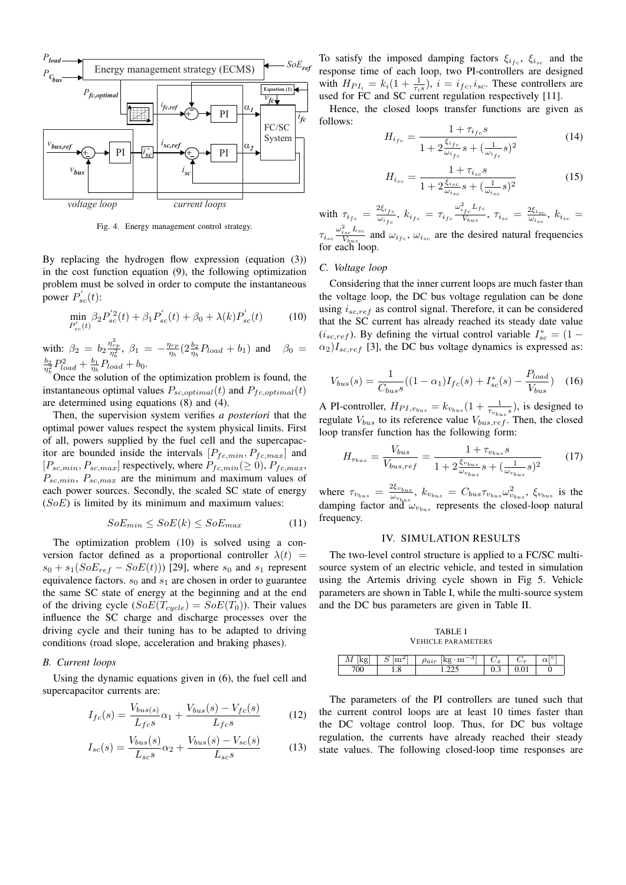

Fig. 4. Energy management control strategy.

By replacing the hydrogen flow expression (equation (3)) in the cost function equation (9), the following optimization problem must be solved in order to compute the instantaneous power  $P'_{sc}(t)$ :

$$
\min_{P'_{sc}(t)} \beta_2 P_{sc}'^2(t) + \beta_1 P_{sc}'(t) + \beta_0 + \lambda(k) P_{sc}'(t) \tag{10}
$$

with:  $\beta_2 = b_2 \frac{\eta_{rp}^2}{\eta_b^2}, \ \beta_1 = -\frac{\eta_{rp}}{\eta_b}$  $\frac{\eta_{rp}}{\eta_b}(2\frac{b_2}{\eta_b}P_{load}+b_1)$  and  $\beta_0=$  $\frac{b_2}{\eta_b^2} P_{load}^2 + \frac{b_1}{\eta_b} P_{load} + b_0.$ 

Once the solution of the optimization problem is found, the instantaneous optimal values  $P_{sc,optimal}(t)$  and  $P_{fc,optimal}(t)$ are determined using equations (8) and (4).

Then, the supervision system verifies *a posteriori* that the optimal power values respect the system physical limits. First of all, powers supplied by the fuel cell and the supercapacitor are bounded inside the intervals  $[P_{fc,min}, P_{fc,max}]$  and  $[P_{sc,min}, P_{sc,max}]$  respectively, where  $P_{fc,min}(\geq 0), P_{fc,max}$ ,  $P_{sc,min}$ ,  $P_{sc,max}$  are the minimum and maximum values of each power sources. Secondly, the scaled SC state of energy  $(SoE)$  is limited by its minimum and maximum values:

$$
SoE_{min} \le SoE(k) \le SoE_{max} \tag{11}
$$

The optimization problem (10) is solved using a conversion factor defined as a proportional controller  $\lambda(t)$  =  $s_0 + s_1(SoE_{ref} - SoE(t))$  [29], where  $s_0$  and  $s_1$  represent equivalence factors.  $s_0$  and  $s_1$  are chosen in order to guarantee the same SC state of energy at the beginning and at the end of the driving cycle  $(SoE(T_{cycle}) = SoE(T_0))$ . Their values influence the SC charge and discharge processes over the driving cycle and their tuning has to be adapted to driving conditions (road slope, acceleration and braking phases).

#### *B. Current loops*

Using the dynamic equations given in (6), the fuel cell and supercapacitor currents are:

$$
I_{fc}(s) = \frac{V_{bus(s)}}{L_{fc}s}\alpha_1 + \frac{V_{bus}(s) - V_{fc}(s)}{L_{fc}s}
$$
(12)

$$
I_{sc}(s) = \frac{V_{bus}(s)}{L_{sc}s} \alpha_2 + \frac{V_{bus}(s) - V_{sc}(s)}{L_{sc}s}
$$
(13)

To satisfy the imposed damping factors  $\xi_{i_{fc}}$ ,  $\xi_{i_{sc}}$  and the response time of each loop, two PI-controllers are designed with  $H_{PI_i} = k_i(1 + \frac{1}{\tau_i s})$ ,  $i = i_{fc}, i_{sc}$ . These controllers are used for FC and SC current regulation respectively [11].

Hence, the closed loops transfer functions are given as follows:

$$
H_{i_{fc}} = \frac{1 + \tau_{i_{fc}}s}{1 + 2\frac{\xi_{i_{fc}}}{\omega_{i_{fc}}s} + (\frac{1}{\omega_{i_{fc}}s})^2}
$$
(14)

$$
H_{i_{sc}} = \frac{1 + \tau_{i_{sc}}s}{1 + 2\frac{\xi_{i_{sc}}}{\omega_{i_{sc}}}s + (\frac{1}{\omega_{i_{sc}}}s)^2}
$$
(15)

with 
$$
\tau_{i_{fc}} = \frac{2\xi_{i_{fc}}}{\omega_{i_{fc}}}, k_{i_{fc}} = \tau_{i_{fc}} \frac{\omega_{i_{fc}}^2 L_{fc}}{V_{bus}}, \tau_{i_{sc}} = \frac{2\xi_{i_{sc}}}{\omega_{i_{sc}}}, k_{i_{sc}} = \tau_{i_{sc}} \frac{\omega_{i_{sc}}^2 L_{sc}}{V_{bus}}
$$
 and  $\omega_{i_{fc}}, \omega_{i_{sc}}$  are the desired natural frequencies for each loop.

### *C. Voltage loop*

Considering that the inner current loops are much faster than the voltage loop, the DC bus voltage regulation can be done using  $i_{sc,ref}$  as control signal. Therefore, it can be considered that the SC current has already reached its steady date value  $(i_{sc,ref})$ . By defining the virtual control variable  $I_{sc}^{*} = (1 \alpha_2$ ) $I_{sc,ref}$  [3], the DC bus voltage dynamics is expressed as:

$$
V_{bus}(s) = \frac{1}{C_{bus}s}((1 - \alpha_1)I_{fc}(s) + I_{sc}^*(s) - \frac{P_{load}}{V_{bus}})
$$
 (16)

A PI-controller,  $H_{PI,v_{bus}} = k_{v_{bus}} (1 + \frac{1}{\tau_{v_{bus}} s})$ , is designed to regulate  $V_{bus}$  to its reference value  $V_{bus,ref}$ . Then, the closed loop transfer function has the following form:

$$
H_{v_{bus}} = \frac{V_{bus}}{V_{bus,ref}} = \frac{1 + \tau_{v_{bus}}s}{1 + 2\frac{\xi_{v_{bus}}}{\omega_{v_{bus}}}s + (\frac{1}{\omega_{v_{bus}}s})^2}
$$
(17)

where  $\tau_{v_{bus}} = \frac{2\xi_{v_{bus}}}{\omega_{v}}$  $\frac{\omega_{\varepsilon_{v_{bus}}}}{\omega_{v_{bus}}},\ k_{v_{bus}}=C_{bus}\tau_{v_{bus}}\omega^2_{v_{bus}},\ \xi_{v_{bus}} \text{ is the}$ damping factor and  $\omega_{v_{bus}}$  represents the closed-loop natural frequency.

#### IV. SIMULATION RESULTS

The two-level control structure is applied to a FC/SC multisource system of an electric vehicle, and tested in simulation using the Artemis driving cycle shown in Fig 5. Vehicle parameters are shown in Table I, while the multi-source system and the DC bus parameters are given in Table II.

TABLE I VEHICLE PARAMETERS

| 1VI<br>$\circ$ | <b>TTT</b><br>ົ | υ<br>$\sim$<br>$a\imath r$<br><b>TTT</b><br>◡ | $\cup x$ | $\sim$ | ۰<br>ıс<br>u |
|----------------|-----------------|-----------------------------------------------|----------|--------|--------------|
| vv             |                 |                                               | ∪.⊃      | v.v    | ິ            |

The parameters of the PI controllers are tuned such that the current control loops are at least 10 times faster than the DC voltage control loop. Thus, for DC bus voltage regulation, the currents have already reached their steady state values. The following closed-loop time responses are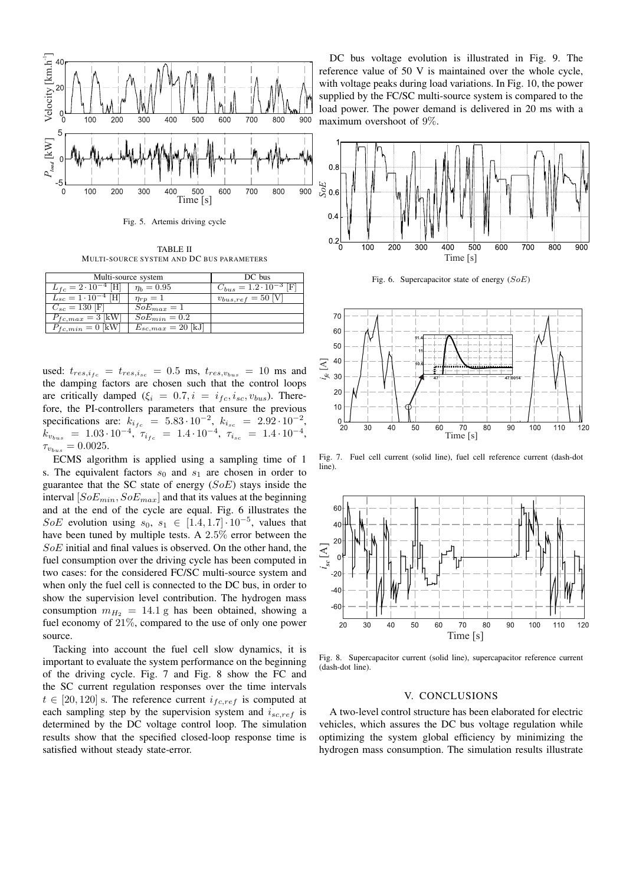

Fig. 5. Artemis driving cycle

TABLE II MULTI-SOURCE SYSTEM AND DC BUS PARAMETERS

| Multi-source system            | DC bus                |                                 |  |
|--------------------------------|-----------------------|---------------------------------|--|
| $L_{fc} = 2 \cdot 10^{-4}$ [H] | $\eta_b = 0.95$       | $C_{bus} = 1.2 \cdot 10^{-3}$ F |  |
| $L_{sc} = 1.10^{-4}$ [H]       | $\eta_{rr}=1$         | $v_{bus,ref} = 50$ [            |  |
| $C_{sc} = 130$ [F]             | $SoE_{max}=1$         |                                 |  |
| $P_{fc,max} = 3$ [kW]          | $SoE_{min}=0.2$       |                                 |  |
| $P_{fc,min} = 0$  kW           | $E_{sc,max} = 20$  kJ |                                 |  |

used:  $t_{res,i_{fc}} = t_{res,i_{sc}} = 0.5$  ms,  $t_{res,v_{bus}} = 10$  ms and the damping factors are chosen such that the control loops are critically damped ( $\xi_i = 0.7, i = i_{fc}, i_{sc}, v_{bus}$ ). Therefore, the PI-controllers parameters that ensure the previous specifications are:  $k_{i_{fc}} = 5.83 \cdot 10^{-2}$ ,  $k_{i_{sc}} = 2.92 \cdot 10^{-2}$ ,  $k_{v_{bus}} = 1.03 \cdot 10^{-4}, \tau_{i_{fc}} = 1.4 \cdot 10^{-4}, \tau_{i_{sc}} = 1.4 \cdot 10^{-4},$  $\tau_{v_{bus}} = 0.0025.$ 

ECMS algorithm is applied using a sampling time of 1 s. The equivalent factors  $s_0$  and  $s_1$  are chosen in order to guarantee that the SC state of energy  $(SoE)$  stays inside the interval  $[SoE_{min}, SoE_{max}]$  and that its values at the beginning and at the end of the cycle are equal. Fig. 6 illustrates the SoE evolution using  $s_0, s_1 \in [1.4, 1.7] \cdot 10^{-5}$ , values that have been tuned by multiple tests. A 2.5% error between the SoE initial and final values is observed. On the other hand, the fuel consumption over the driving cycle has been computed in two cases: for the considered FC/SC multi-source system and when only the fuel cell is connected to the DC bus, in order to show the supervision level contribution. The hydrogen mass consumption  $m_{H_2} = 14.1$  g has been obtained, showing a fuel economy of 21%, compared to the use of only one power source.

Tacking into account the fuel cell slow dynamics, it is important to evaluate the system performance on the beginning of the driving cycle. Fig. 7 and Fig. 8 show the FC and the SC current regulation responses over the time intervals  $t \in [20, 120]$  s. The reference current  $i_{fc,ref}$  is computed at each sampling step by the supervision system and  $i_{sc,ref}$  is determined by the DC voltage control loop. The simulation results show that the specified closed-loop response time is satisfied without steady state-error.

DC bus voltage evolution is illustrated in Fig. 9. The reference value of 50 V is maintained over the whole cycle, with voltage peaks during load variations. In Fig. 10, the power supplied by the FC/SC multi-source system is compared to the load power. The power demand is delivered in 20 ms with a maximum overshoot of 9%.



Fig. 6. Supercapacitor state of energy  $(SoE)$ 

![](_page_5_Figure_10.jpeg)

Fig. 7. Fuel cell current (solid line), fuel cell reference current (dash-dot line).

![](_page_5_Figure_12.jpeg)

Fig. 8. Supercapacitor current (solid line), supercapacitor reference current (dash-dot line).

#### V. CONCLUSIONS

A two-level control structure has been elaborated for electric vehicles, which assures the DC bus voltage regulation while optimizing the system global efficiency by minimizing the hydrogen mass consumption. The simulation results illustrate